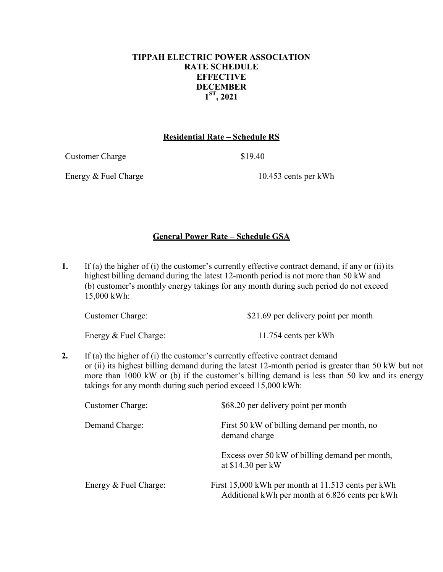## **TIPPAH ELECTRIC POWER ASSOCIATION RATE SCHEDULE EFFECTIVE DECEMBER 1ST, 2021**

### **Residential Rate – Schedule RS**

Customer Charge \$19.40

Energy & Fuel Charge 10.453 cents per kWh

# **General Power Rate – Schedule GSA**

**1.** If (a) the higher of (i) the customer's currently effective contract demand, if any or (ii) its highest billing demand during the latest 12-month period is not more than 50 kW and (b) customer's monthly energy takings for any month during such period do not exceed 15,000 kWh:

| Customer Charge: | \$21.69 per delivery point per month |  |  |
|------------------|--------------------------------------|--|--|
|                  |                                      |  |  |

Energy & Fuel Charge: 11.754 cents per kWh

**2.** If (a) the higher of (i) the customer's currently effective contract demand or (ii) its highest billing demand during the latest 12-month period is greater than 50 kW but not more than 1000 kW or (b) if the customer's billing demand is less than 50 kw and its energy takings for any month during such period exceed 15,000 kWh:

| <b>Customer Charge:</b> | \$68.20 per delivery point per month                                                                  |
|-------------------------|-------------------------------------------------------------------------------------------------------|
| Demand Charge:          | First 50 kW of billing demand per month, no<br>demand charge                                          |
|                         | Excess over 50 kW of billing demand per month,<br>at $$14.30$ per kW                                  |
| Energy & Fuel Charge:   | First 15,000 kWh per month at 11.513 cents per kWh<br>Additional kWh per month at 6.826 cents per kWh |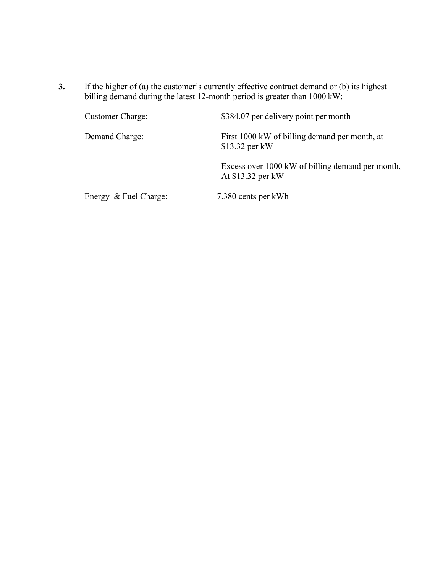**3.** If the higher of (a) the customer's currently effective contract demand or (b) its highest billing demand during the latest 12-month period is greater than 1000 kW:

| <b>Customer Charge:</b> | \$384.07 per delivery point per month                                 |
|-------------------------|-----------------------------------------------------------------------|
| Demand Charge:          | First 1000 kW of billing demand per month, at<br>\$13.32 per kW       |
|                         | Excess over 1000 kW of billing demand per month,<br>At \$13.32 per kW |
| Energy & Fuel Charge:   | 7.380 cents per kWh                                                   |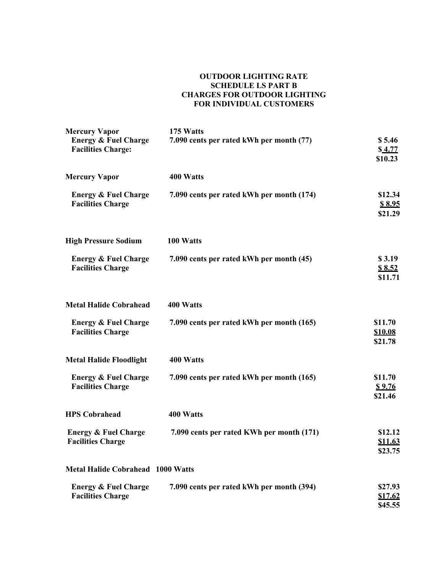#### **OUTDOOR LIGHTING RATE SCHEDULE LS PART B CHARGES FOR OUTDOOR LIGHTING FOR INDIVIDUAL CUSTOMERS**

| <b>Mercury Vapor</b><br><b>Energy &amp; Fuel Charge</b><br><b>Facilities Charge:</b> | 175 Watts<br>7.090 cents per rated kWh per month (77) | \$5.46<br>\$4.77<br>\$10.23          |
|--------------------------------------------------------------------------------------|-------------------------------------------------------|--------------------------------------|
| <b>Mercury Vapor</b>                                                                 | 400 Watts                                             |                                      |
| <b>Energy &amp; Fuel Charge</b><br><b>Facilities Charge</b>                          | 7.090 cents per rated kWh per month (174)             | \$12.34<br>\$8.95<br>\$21.29         |
| <b>High Pressure Sodium</b>                                                          | 100 Watts                                             |                                      |
| <b>Energy &amp; Fuel Charge</b><br><b>Facilities Charge</b>                          | 7.090 cents per rated kWh per month (45)              | \$3.19<br>\$8.52<br>\$11.71          |
| <b>Metal Halide Cobrahead</b>                                                        | 400 Watts                                             |                                      |
| <b>Energy &amp; Fuel Charge</b><br><b>Facilities Charge</b>                          | 7.090 cents per rated kWh per month (165)             | \$11.70<br><b>\$10.08</b><br>\$21.78 |
| <b>Metal Halide Floodlight</b>                                                       | 400 Watts                                             |                                      |
| <b>Energy &amp; Fuel Charge</b><br><b>Facilities Charge</b>                          | 7.090 cents per rated kWh per month (165)             | \$11.70<br><u>\$9.76</u><br>\$21.46  |
| <b>HPS Cobrahead</b>                                                                 | 400 Watts                                             |                                      |
| <b>Energy &amp; Fuel Charge</b><br><b>Facilities Charge</b>                          | 7.090 cents per rated KWh per month (171)             | \$12.12<br>\$11.63<br>\$23.75        |
| <b>Metal Halide Cobrahead 1000 Watts</b>                                             |                                                       |                                      |
| <b>Energy &amp; Fuel Charge</b><br><b>Facilities Charge</b>                          | 7.090 cents per rated kWh per month (394)             | \$27.93<br>\$17.62<br>\$45.55        |